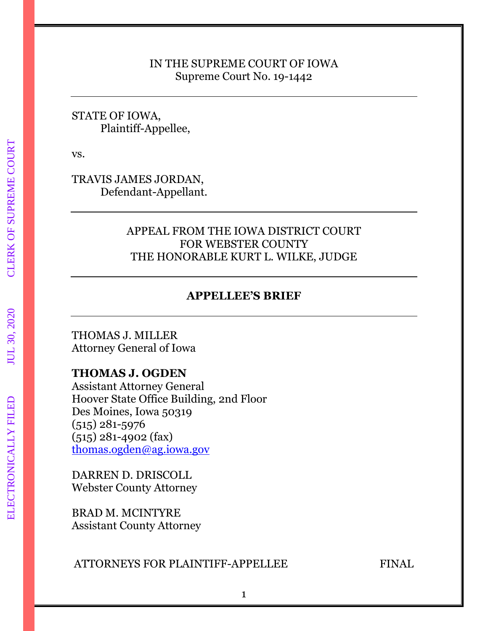#### IN THE SUPREME COURT OF IOWA Supreme Court No. 19-1442

### STATE OF IOWA, Plaintiff-Appellee,

vs.

TRAVIS JAMES JORDAN, Defendant-Appellant.

### APPEAL FROM THE IOWA DISTRICT COURT FOR WEBSTER COUNTY THE HONORABLE KURT L. WILKE, JUDGE

## **APPELLEE'S BRIEF**

THOMAS J. MILLER Attorney General of Iowa

### **THOMAS J. OGDEN**

Assistant Attorney General Hoover State Office Building, 2nd Floor Des Moines, Iowa 50319 (515) 281-5976 (515) 281-4902 (fax) [thomas.ogden@ag.iowa.gov](mailto:thomas.ogden@ag.iowa.gov)

DARREN D. DRISCOLL Webster County Attorney

BRAD M. MCINTYRE Assistant County Attorney

### ATTORNEYS FOR PLAINTIFF-APPELLEE FINAL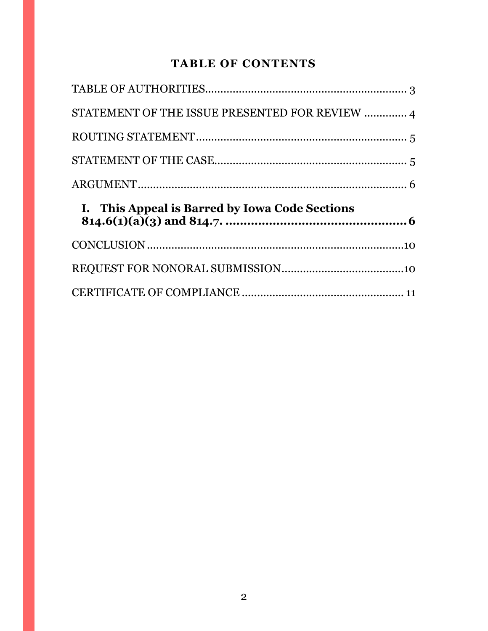# **TABLE OF CONTENTS**

| STATEMENT OF THE ISSUE PRESENTED FOR REVIEW  4 |  |
|------------------------------------------------|--|
|                                                |  |
|                                                |  |
|                                                |  |
|                                                |  |
| I. This Appeal is Barred by Iowa Code Sections |  |
|                                                |  |
|                                                |  |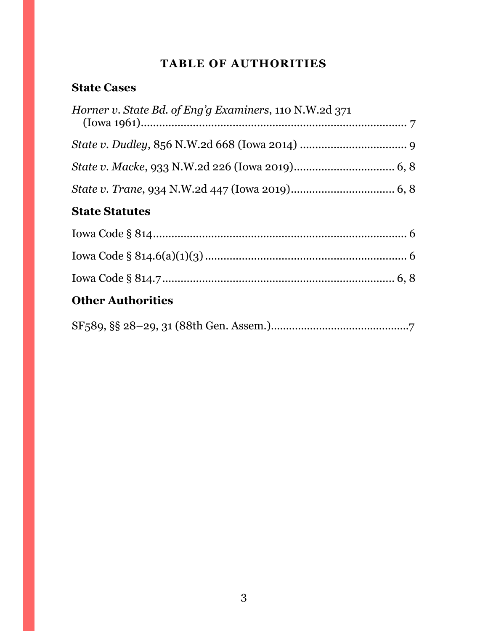# **TABLE OF AUTHORITIES**

### <span id="page-2-0"></span>**State Cases**

| <i>Horner v. State Bd. of Eng'g Examiners, 110 N.W.2d 371</i> |
|---------------------------------------------------------------|
|                                                               |
|                                                               |
|                                                               |
| <b>State Statutes</b>                                         |
|                                                               |
|                                                               |
|                                                               |
| <b>Other Authorities</b>                                      |
|                                                               |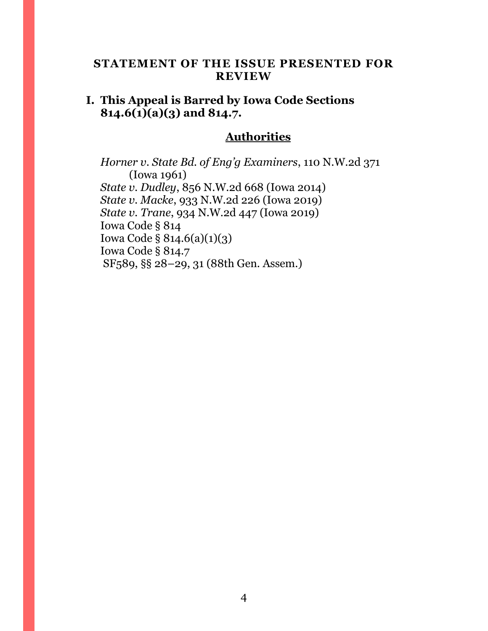### <span id="page-3-0"></span>**STATEMENT OF THE ISSUE PRESENTED FOR REVIEW**

### **I. This Appeal is Barred by Iowa Code Sections 814.6(1)(a)(3) and 814.7.**

### **Authorities**

*Horner v. State Bd. of Eng'g Examiners*, 110 N.W.2d 371 (Iowa 1961) *State v. Dudley*, 856 N.W.2d 668 (Iowa 2014) *State v. Macke*, 933 N.W.2d 226 (Iowa 2019) *State v. Trane*, 934 N.W.2d 447 (Iowa 2019) Iowa Code § 814 Iowa Code § 814.6(a)(1)(3) Iowa Code § 814.7 SF589, §§ 28–29, 31 (88th Gen. Assem.)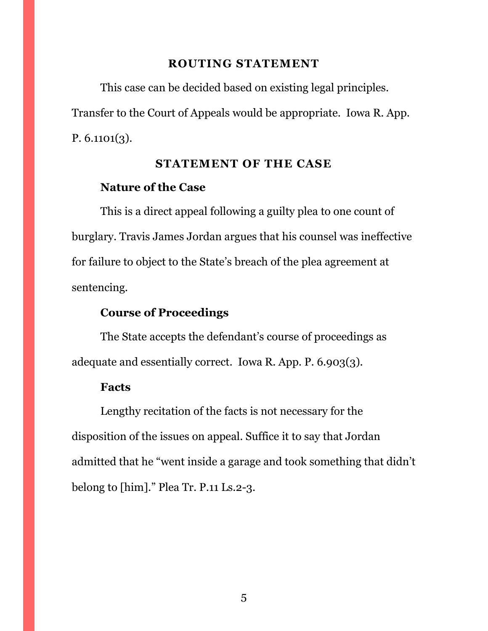#### **ROUTING STATEMENT**

<span id="page-4-0"></span>This case can be decided based on existing legal principles. Transfer to the Court of Appeals would be appropriate. Iowa R. App. P. 6.1101(3).

#### **STATEMENT OF THE CASE**

#### <span id="page-4-1"></span>**Nature of the Case**

This is a direct appeal following a guilty plea to one count of burglary. Travis James Jordan argues that his counsel was ineffective for failure to object to the State's breach of the plea agreement at sentencing.

### **Course of Proceedings**

The State accepts the defendant's course of proceedings as adequate and essentially correct. Iowa R. App. P. 6.903(3).

#### **Facts**

Lengthy recitation of the facts is not necessary for the disposition of the issues on appeal. Suffice it to say that Jordan admitted that he "went inside a garage and took something that didn't belong to [him]." Plea Tr. P.11 Ls.2-3.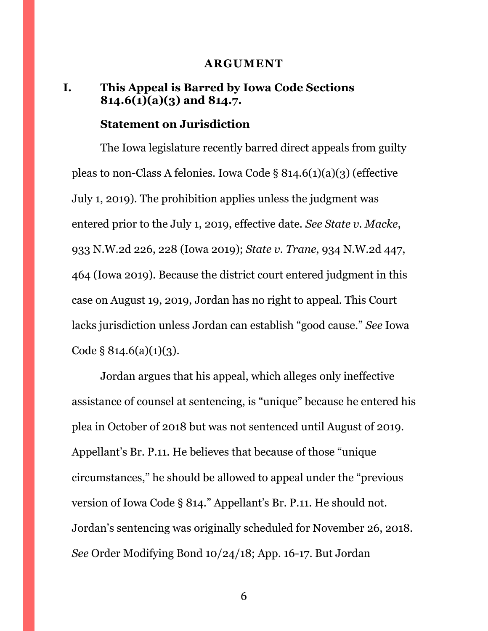#### **ARGUMENT**

### <span id="page-5-1"></span><span id="page-5-0"></span>**I. This Appeal is Barred by Iowa Code Sections 814.6(1)(a)(3) and 814.7.**

#### **Statement on Jurisdiction**

The Iowa legislature recently barred direct appeals from guilty pleas to non-Class A felonies. Iowa Code § 814.6(1)(a)(3) (effective July 1, 2019). The prohibition applies unless the judgment was entered prior to the July 1, 2019, effective date. *See State v. Macke*, 933 N.W.2d 226, 228 (Iowa 2019); *State v. Trane*, 934 N.W.2d 447, 464 (Iowa 2019). Because the district court entered judgment in this case on August 19, 2019, Jordan has no right to appeal. This Court lacks jurisdiction unless Jordan can establish "good cause." *See* Iowa Code  $\S 814.6(a)(1)(3)$ .

Jordan argues that his appeal, which alleges only ineffective assistance of counsel at sentencing, is "unique" because he entered his plea in October of 2018 but was not sentenced until August of 2019. Appellant's Br. P.11. He believes that because of those "unique circumstances," he should be allowed to appeal under the "previous version of Iowa Code § 814." Appellant's Br. P.11. He should not. Jordan's sentencing was originally scheduled for November 26, 2018. *See* Order Modifying Bond 10/24/18; App. 16-17. But Jordan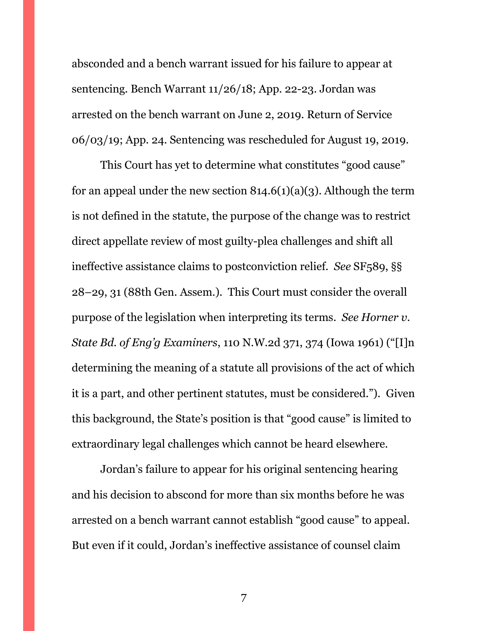absconded and a bench warrant issued for his failure to appear at sentencing. Bench Warrant 11/26/18; App. 22-23. Jordan was arrested on the bench warrant on June 2, 2019. Return of Service 06/03/19; App. 24. Sentencing was rescheduled for August 19, 2019.

This Court has yet to determine what constitutes "good cause" for an appeal under the new section  $814.6(1)(a)(3)$ . Although the term is not defined in the statute, the purpose of the change was to restrict direct appellate review of most guilty-plea challenges and shift all ineffective assistance claims to postconviction relief. *See* SF<sub>5</sub>89, §§ 28–29, 31 (88th Gen. Assem.). This Court must consider the overall purpose of the legislation when interpreting its terms. *See Horner v. State Bd. of Eng'g Examiners*, 110 N.W.2d 371, 374 (Iowa 1961) ("[I]n determining the meaning of a statute all provisions of the act of which it is a part, and other pertinent statutes, must be considered."). Given this background, the State's position is that "good cause" is limited to extraordinary legal challenges which cannot be heard elsewhere.

Jordan's failure to appear for his original sentencing hearing and his decision to abscond for more than six months before he was arrested on a bench warrant cannot establish "good cause" to appeal. But even if it could, Jordan's ineffective assistance of counsel claim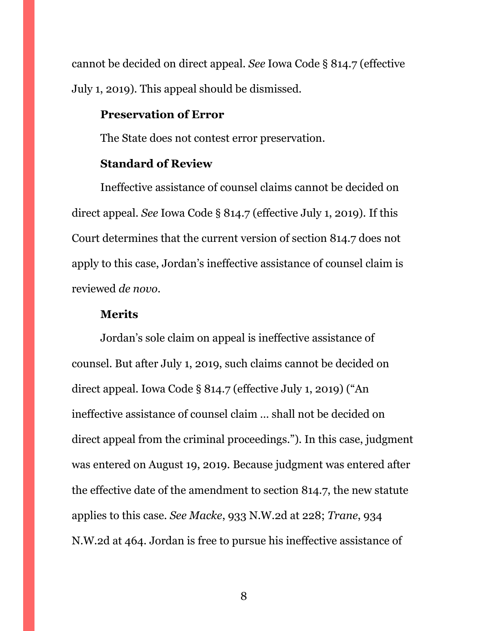cannot be decided on direct appeal. *See* Iowa Code § 814.7 (effective July 1, 2019). This appeal should be dismissed.

#### **Preservation of Error**

The State does not contest error preservation.

#### **Standard of Review**

Ineffective assistance of counsel claims cannot be decided on direct appeal. *See* Iowa Code § 814.7 (effective July 1, 2019). If this Court determines that the current version of section 814.7 does not apply to this case, Jordan's ineffective assistance of counsel claim is reviewed *de novo*.

#### **Merits**

Jordan's sole claim on appeal is ineffective assistance of counsel. But after July 1, 2019, such claims cannot be decided on direct appeal. Iowa Code § 814.7 (effective July 1, 2019) ("An ineffective assistance of counsel claim … shall not be decided on direct appeal from the criminal proceedings."). In this case, judgment was entered on August 19, 2019. Because judgment was entered after the effective date of the amendment to section 814.7, the new statute applies to this case. *See Macke*, 933 N.W.2d at 228; *Trane*, 934 N.W.2d at 464. Jordan is free to pursue his ineffective assistance of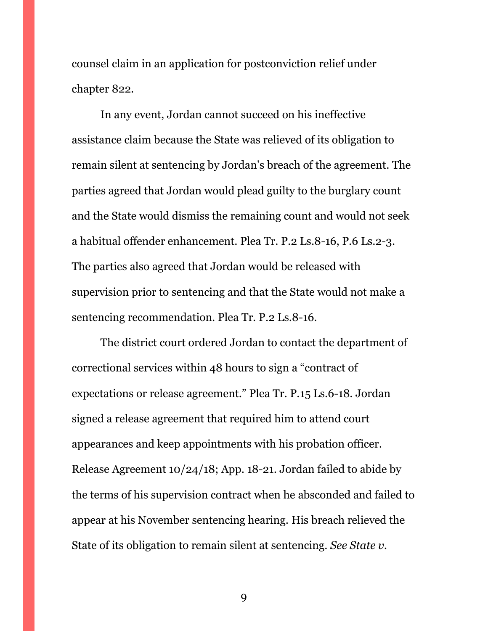counsel claim in an application for postconviction relief under chapter 822.

In any event, Jordan cannot succeed on his ineffective assistance claim because the State was relieved of its obligation to remain silent at sentencing by Jordan's breach of the agreement. The parties agreed that Jordan would plead guilty to the burglary count and the State would dismiss the remaining count and would not seek a habitual offender enhancement. Plea Tr. P.2 Ls.8-16, P.6 Ls.2-3. The parties also agreed that Jordan would be released with supervision prior to sentencing and that the State would not make a sentencing recommendation. Plea Tr. P.2 Ls.8-16.

The district court ordered Jordan to contact the department of correctional services within 48 hours to sign a "contract of expectations or release agreement." Plea Tr. P.15 Ls.6-18. Jordan signed a release agreement that required him to attend court appearances and keep appointments with his probation officer. Release Agreement 10/24/18; App. 18-21. Jordan failed to abide by the terms of his supervision contract when he absconded and failed to appear at his November sentencing hearing. His breach relieved the State of its obligation to remain silent at sentencing. *See State v.*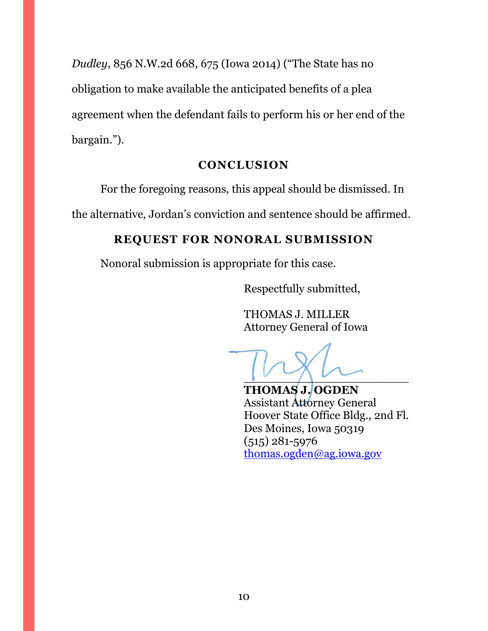*Dudley*, 856 N.W.2d 668, 675 (Iowa 2014) ("The State has no obligation to make available the anticipated benefits of a plea agreement when the defendant fails to perform his or her end of the bargain.").

## **CONCLUSION**

<span id="page-9-0"></span>For the foregoing reasons, this appeal should be dismissed. In

<span id="page-9-1"></span>the alternative, Jordan's conviction and sentence should be affirmed.

## **REQUEST FOR NONORAL SUBMISSION**

Nonoral submission is appropriate for this case.

Respectfully submitted,

THOMAS J. MILLER Attorney General of Iowa

 $\sqrt{2}$ 

**THOMAS J. OGDEN** Assistant Attorney General Hoover State Office Bldg., 2nd Fl. Des Moines, Iowa 50319 (515) 281-5976 [thomas.ogden@ag.iowa.gov](mailto:thomas.ogden@ag.iowa.gov)